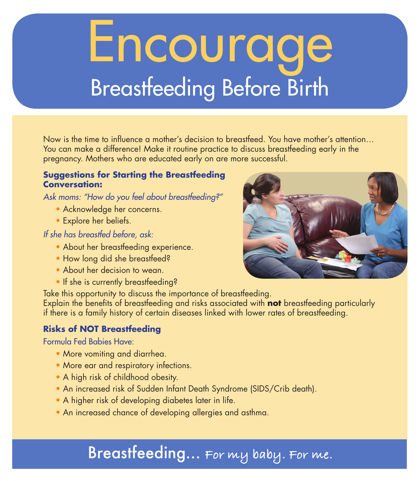# Encourage Breastfeeding Before Birth

Now is the time to influence a mother's decision to breastfeed. You have mother's attention… You can make a difference! Make it routine practice to discuss breastfeeding early in the pregnancy. Mothers who are educated early on are more successful.

#### **Suggestions for Starting the Breastfeeding Conversation:**

*Ask moms: "How do you feel about breastfeeding?"* 

- Acknowledge her concerns.
- Explore her beliefs.

*If she has breastfed before, ask:* 

- About her breastfeeding experience.
- How long did she breastfeed?
- About her decision to wean.
- If she is currently breastfeeding?

Take this opportunity to discuss the importance of breastfeeding. Explain the benefits of breastfeeding and risks associated with **not** breastfeeding particularly if there is a family history of certain diseases linked with lower rates of breastfeeding.

#### **Risks of NOT Breastfeeding**

Formula Fed Babies Have:

- More vomiting and diarrhea.
- More ear and respiratory infections.
- A high risk of childhood obesity.
- An increased risk of Sudden Infant Death Syndrome (SIDS/Crib death).
- A higher risk of developing diabetes later in life.
- An increased chance of developing allergies and asthma.

## Breastfeeding… **For my baby. For me.**